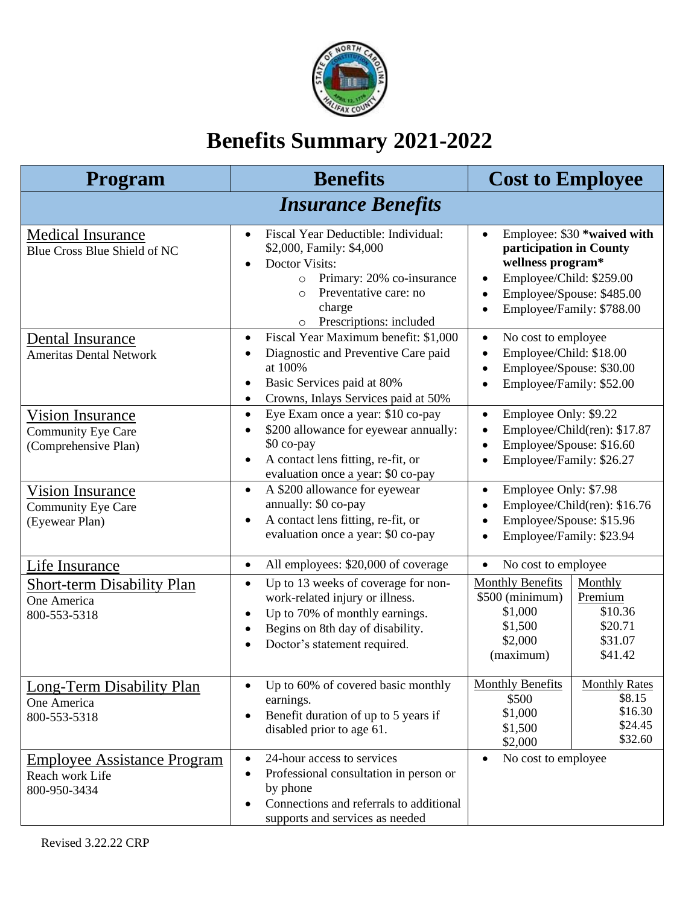

## **Benefits Summary 2021-2022**

| <b>Program</b>                                                        | <b>Benefits</b>                                                                                                                                                                                                                                  | <b>Cost to Employee</b>                                                                                                                                                                     |                                                                 |  |
|-----------------------------------------------------------------------|--------------------------------------------------------------------------------------------------------------------------------------------------------------------------------------------------------------------------------------------------|---------------------------------------------------------------------------------------------------------------------------------------------------------------------------------------------|-----------------------------------------------------------------|--|
| <b>Insurance Benefits</b>                                             |                                                                                                                                                                                                                                                  |                                                                                                                                                                                             |                                                                 |  |
| <b>Medical Insurance</b><br>Blue Cross Blue Shield of NC              | Fiscal Year Deductible: Individual:<br>$\bullet$<br>\$2,000, Family: \$4,000<br><b>Doctor Visits:</b><br>$\bullet$<br>Primary: 20% co-insurance<br>$\Omega$<br>Preventative care: no<br>$\Omega$<br>charge<br>Prescriptions: included<br>$\circ$ | Employee: \$30 *waived with<br>participation in County<br>wellness program*<br>Employee/Child: \$259.00<br>$\bullet$<br>Employee/Spouse: \$485.00<br>$\bullet$<br>Employee/Family: \$788.00 |                                                                 |  |
| Dental Insurance<br><b>Ameritas Dental Network</b>                    | Fiscal Year Maximum benefit: \$1,000<br>$\bullet$<br>Diagnostic and Preventive Care paid<br>$\bullet$<br>at 100%<br>Basic Services paid at 80%<br>$\bullet$<br>Crowns, Inlays Services paid at 50%<br>$\bullet$                                  | No cost to employee<br>$\bullet$<br>Employee/Child: \$18.00<br>Employee/Spouse: \$30.00<br>Employee/Family: \$52.00                                                                         |                                                                 |  |
| <b>Vision Insurance</b><br>Community Eye Care<br>(Comprehensive Plan) | Eye Exam once a year: \$10 co-pay<br>$\bullet$<br>\$200 allowance for eyewear annually:<br>$\bullet$<br>\$0 co-pay<br>A contact lens fitting, re-fit, or<br>$\bullet$<br>evaluation once a year: \$0 co-pay                                      | Employee Only: \$9.22<br>$\bullet$<br>Employee/Spouse: \$16.60<br>$\bullet$<br>Employee/Family: \$26.27                                                                                     | Employee/Child(ren): \$17.87                                    |  |
| <b>Vision Insurance</b><br>Community Eye Care<br>(Eyewear Plan)       | A \$200 allowance for eyewear<br>$\bullet$<br>annually: \$0 co-pay<br>A contact lens fitting, re-fit, or<br>$\bullet$<br>evaluation once a year: \$0 co-pay                                                                                      | Employee Only: \$7.98<br>$\bullet$<br>Employee/Child(ren): \$16.76<br>Employee/Spouse: \$15.96<br>Employee/Family: \$23.94                                                                  |                                                                 |  |
| Life Insurance                                                        | All employees: \$20,000 of coverage<br>$\bullet$                                                                                                                                                                                                 | No cost to employee<br>$\bullet$                                                                                                                                                            |                                                                 |  |
| <b>Short-term Disability Plan</b><br>One America<br>800-553-5318      | Up to 13 weeks of coverage for non-<br>$\bullet$<br>work-related injury or illness.<br>Up to 70% of monthly earnings.<br>$\bullet$<br>Begins on 8th day of disability.<br>$\bullet$<br>Doctor's statement required.<br>$\bullet$                 | <b>Monthly Benefits</b><br>\$500 (minimum)<br>\$1,000<br>\$1,500<br>\$2,000<br>(maximum)                                                                                                    | Monthly<br>Premium<br>\$10.36<br>\$20.71<br>\$31.07<br>\$41.42  |  |
| Long-Term Disability Plan<br>One America<br>800-553-5318              | Up to 60% of covered basic monthly<br>$\bullet$<br>earnings.<br>Benefit duration of up to 5 years if<br>$\bullet$<br>disabled prior to age 61.                                                                                                   | <b>Monthly Benefits</b><br>\$500<br>\$1,000<br>\$1,500<br>\$2,000                                                                                                                           | <b>Monthly Rates</b><br>\$8.15<br>\$16.30<br>\$24.45<br>\$32.60 |  |
| <b>Employee Assistance Program</b><br>Reach work Life<br>800-950-3434 | 24-hour access to services<br>$\bullet$<br>Professional consultation in person or<br>$\bullet$<br>by phone<br>Connections and referrals to additional<br>٠<br>supports and services as needed                                                    | No cost to employee<br>$\bullet$                                                                                                                                                            |                                                                 |  |